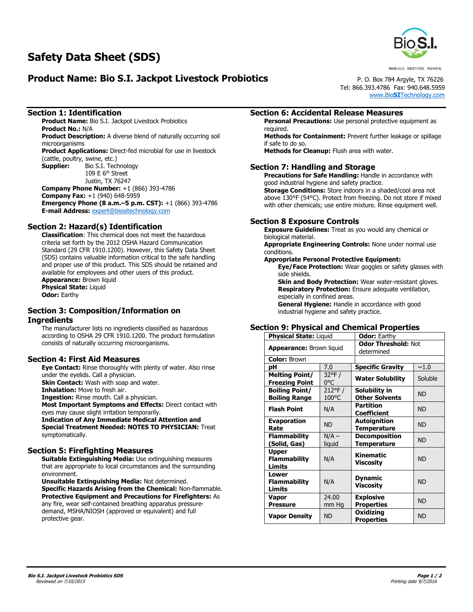# **Product Name: Bio S.I. Jackpot Livestock Probiotics** P. O. Box 784 Argyle, TX 76226



REBUILD, RESTORE, RENEW.

Tel: 866.393.4786 Fax: 940.648.5959 www.Bio**SI**[Technology.com](http://www.biositechnology.com/)

#### **Section 1: Identification**

**Product Name:** Bio S.I. Jackpot Livestock Probiotics **Product No.:** N/A **Product Description:** A diverse blend of naturally occurring soil

microorganisms **Product Applications:** Direct-fed microbial for use in livestock

(cattle, poultry, swine, etc.)<br>**Supplier:** Bio S.I. Tech **Supplier:** Bio S.I. Technology 109 E  $6<sup>th</sup>$  Street Justin, TX 76247 **Company Phone Number:** +1 (866) 393-4786 **Company Fax:** +1 (940) 648-5959 **Emergency Phone (8 a.m.–5 p.m. CST):** +1 (866) 393-4786 **E-mail Address:** [expert@biositechnology.com](mailto:expert@biositechnology.com)

## **Section 2: Hazard(s) Identification**

**Classification**: This chemical does not meet the hazardous criteria set forth by the 2012 OSHA Hazard Communication Standard (29 CFR 1910.1200). However, this Safety Data Sheet (SDS) contains valuable information critical to the safe handling and proper use of this product. This SDS should be retained and available for employees and other users of this product. **Appearance: Brown liquid Physical State:** Liquid **Odor:** Earthy

#### **Section 3: Composition/Information on Ingredients**

The manufacturer lists no ingredients classified as hazardous according to OSHA 29 CFR 1910.1200. The product formulation consists of naturally occurring microorganisms.

## **Section 4: First Aid Measures**

**Eye Contact:** Rinse thoroughly with plenty of water. Also rinse under the eyelids. Call a physician.

**Skin Contact:** Wash with soap and water.

**Inhalation:** Move to fresh air.

**Ingestion:** Rinse mouth. Call a physician.

**Most Important Symptoms and Effects:** Direct contact with eyes may cause slight irritation temporarily.

**Indication of Any Immediate Medical Attention and Special Treatment Needed: NOTES TO PHYSICIAN:** Treat symptomatically.

#### **Section 5: Firefighting Measures**

**Suitable Extinguishing Media:** Use extinguishing measures that are appropriate to local circumstances and the surrounding environment.

**Unsuitable Extinguishing Media:** Not determined. **Specific Hazards Arising from the Chemical:** Non-flammable. **Protective Equipment and Precautions for Firefighters:** As any fire, wear self-contained breathing apparatus pressuredemand, MSHA/NIOSH (approved or equivalent) and full protective gear.

#### **Section 6: Accidental Release Measures**

**Personal Precautions:** Use personal protective equipment as required.

**Methods for Containment:** Prevent further leakage or spillage if safe to do so.

**Methods for Cleanup:** Flush area with water.

#### **Section 7: Handling and Storage**

**Precautions for Safe Handling:** Handle in accordance with good industrial hygiene and safety practice.

**Storage Conditions:** Store indoors in a shaded/cool area not above 130°F (54°C). Protect from freezing. Do not store if mixed with other chemicals; use entire mixture. Rinse equipment well.

#### **Section 8 Exposure Controls**

**Exposure Guidelines:** Treat as you would any chemical or biological material.

**Appropriate Engineering Controls:** None under normal use conditions.

#### **Appropriate Personal Protective Equipment:**

**Eye/Face Protection:** Wear goggles or safety glasses with side shields.

**Skin and Body Protection: Wear water-resistant gloves. Respiratory Protection:** Ensure adequate ventilation, especially in confined areas.

**General Hygiene:** Handle in accordance with good industrial hygiene and safety practice.

## **Section 9: Physical and Chemical Properties**

| <b>Physical State: Liquid</b>                  |                         | <b>Odor: Earthy</b>                        |           |
|------------------------------------------------|-------------------------|--------------------------------------------|-----------|
| <b>Appearance: Brown liquid</b>                |                         | <b>Odor Threshold: Not</b><br>determined   |           |
| <b>Color: Brown</b>                            |                         |                                            |           |
| рH                                             | 7.0                     | <b>Specific Gravity</b>                    | ~1.0      |
| <b>Melting Point/</b><br><b>Freezing Point</b> | $32^{\circ}$ F /<br>0°C | <b>Water Solubility</b>                    | Soluble   |
| <b>Boiling Point/</b><br><b>Boiling Range</b>  | 212°F/<br>100°C         | Solubility in<br><b>Other Solvents</b>     | <b>ND</b> |
| <b>Flash Point</b>                             | N/A                     | <b>Partition</b><br><b>Coefficient</b>     | <b>ND</b> |
| <b>Evaporation</b><br>Rate                     | <b>ND</b>               | Autoignition<br><b>Temperature</b>         | <b>ND</b> |
| <b>Flammability</b><br>(Solid, Gas)            | $N/A -$<br>liquid       | <b>Decomposition</b><br><b>Temperature</b> | <b>ND</b> |
| Upper<br><b>Flammability</b><br>Limits         | N/A                     | Kinematic<br>Viscosity                     | <b>ND</b> |
| Lower<br><b>Flammability</b><br>Limits         | N/A                     | <b>Dynamic</b><br>Viscosity                | <b>ND</b> |
| Vapor<br><b>Pressure</b>                       | 24.00<br>mm Hg          | <b>Explosive</b><br><b>Properties</b>      | <b>ND</b> |
| <b>Vapor Density</b>                           | <b>ND</b>               | Oxidizing<br><b>Properties</b>             | <b>ND</b> |